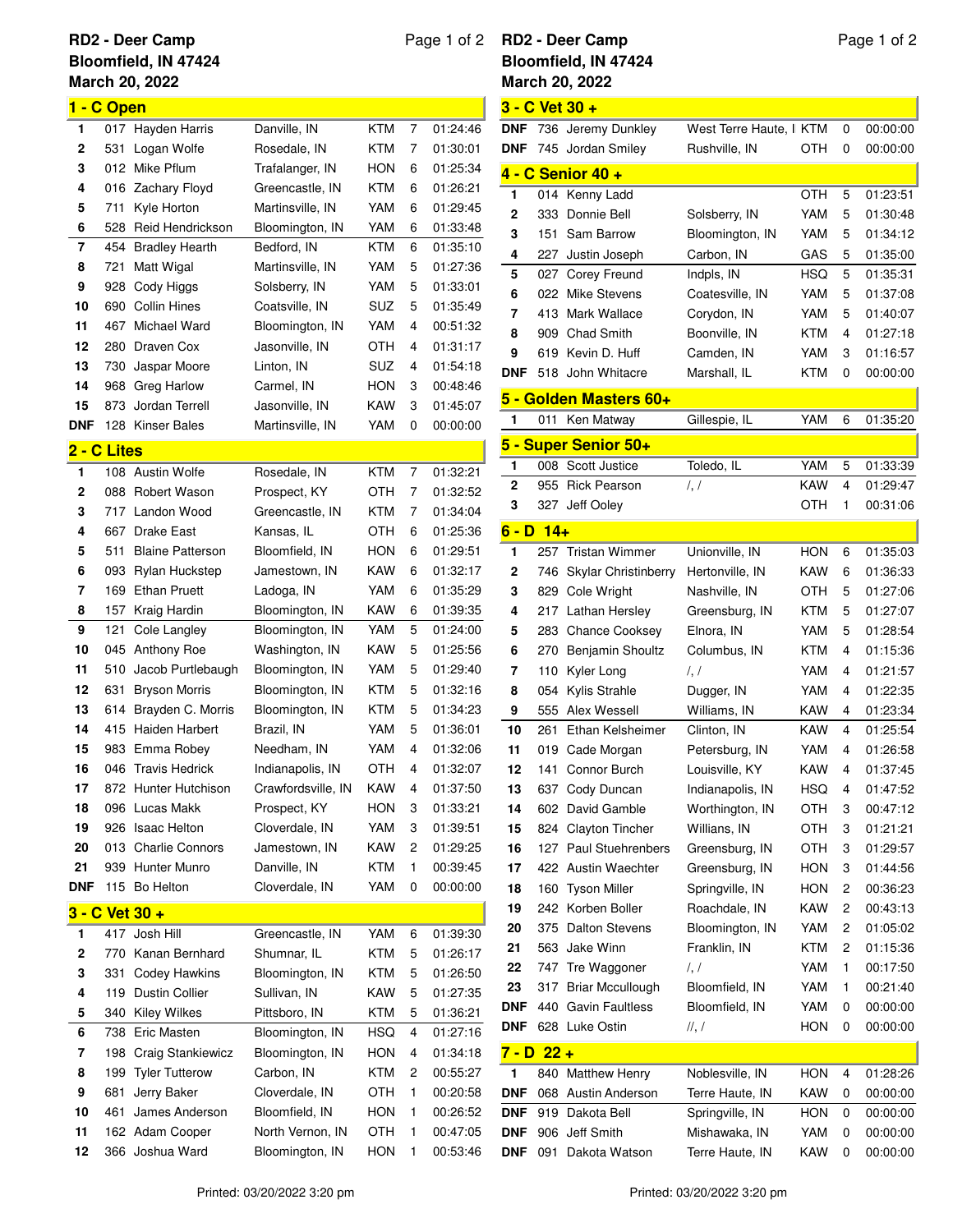## **March 20, 2022 RD2 - Deer Camp Bloomfield, IN 47424**

## **1 - C Open** 017 Hayden Harris Danville, IN KTM 7 01:24:46 531 Logan Wolfe Rosedale, IN KTM 7 01:30:01 012 Mike Pflum Trafalanger, IN HON 6 01:25:34 016 Zachary Floyd Greencastle, IN KTM 6 01:26:21 711 Kyle Horton Martinsville, IN YAM 6 01:29:45 528 Reid Hendrickson Bloomington, IN YAM 6 01:33:48 454 Bradley Hearth Bedford, IN KTM 6 01:35:10 721 Matt Wigal Martinsville, IN YAM 5 01:27:36 928 Cody Higgs Solsberry, IN YAM 5 01:33:01 690 Collin Hines Coatsville, IN SUZ 5 01:35:49 467 Michael Ward Bloomington, IN YAM 4 00:51:32 280 Draven Cox Jasonville, IN OTH 4 01:31:17 730 Jaspar Moore Linton, IN SUZ 4 01:54:18 968 Greg Harlow Carmel, IN HON 3 00:48:46 873 Jordan Terrell Jasonville, IN KAW 3 01:45:07 **DNF** 128 Kinser Bales Martinsville, IN YAM 0 00:00:00 **2 - C Lites** 108 Austin Wolfe Rosedale, IN KTM 7 01:32:21 088 Robert Wason Prospect, KY OTH 7 01:32:52 717 Landon Wood Greencastle, IN KTM 7 01:34:04 667 Drake East Kansas, IL OTH 6 01:25:36 511 Blaine Patterson Bloomfield, IN HON 6 01:29:51 093 Rylan Huckstep Jamestown, IN KAW 6 01:32:17 169 Ethan Pruett Ladoga, IN YAM 6 01:35:29 157 Kraig Hardin Bloomington, IN KAW 6 01:39:35 121 Cole Langley Bloomington, IN YAM 5 01:24:00 045 Anthony Roe Washington, IN KAW 5 01:25:56 510 Jacob Purtlebaugh Bloomington, IN YAM 5 01:29:40 631 Bryson Morris Bloomington, IN KTM 5 01:32:16 614 Brayden C. Morris Bloomington, IN KTM 5 01:34:23 415 Haiden Harbert Brazil, IN YAM 5 01:36:01 983 Emma Robey Needham, IN YAM 4 01:32:06 046 Travis Hedrick Indianapolis, IN OTH 4 01:32:07 872 Hunter Hutchison Crawfordsville, IN KAW 4 01:37:50 096 Lucas Makk Prospect, KY HON 3 01:33:21 926 Isaac Helton Cloverdale, IN YAM 3 01:39:51 013 Charlie Connors Jamestown, IN KAW 2 01:29:25 939 Hunter Munro Danville, IN KTM 1 00:39:45 **DNF** 115 Bo Helton Cloverdale, IN YAM 0 00:00:00 **3 - C Vet 30 +** 417 Josh Hill Greencastle, IN YAM 6 01:39:30 770 Kanan Bernhard Shumnar, IL KTM 5 01:26:17 331 Codey Hawkins Bloomington, IN KTM 5 01:26:50 119 Dustin Collier Sullivan, IN KAW 5 01:27:35

## Page 1 of 2 **RD2 - Deer Camp Bloomfield, IN 47424**

|                    |            | <b>March 20, 2022</b>       |                                   |                   |                |                      |
|--------------------|------------|-----------------------------|-----------------------------------|-------------------|----------------|----------------------|
|                    |            | 3 - C Vet 30 +              |                                   |                   |                |                      |
| <b>DNF</b>         |            | 736 Jeremy Dunkley          | West Terre Haute, I KTM           |                   | 0              | 00:00:00             |
| DNF                |            | 745 Jordan Smiley           | Rushville, IN                     | OTH               | 0              | 00:00:00             |
|                    |            | <u>4 - C Senior 40 +</u>    |                                   |                   |                |                      |
| 1                  | 014        | Kenny Ladd                  |                                   | OTH               | 5              | 01:23:51             |
| 2                  | 333        | Donnie Bell                 | Solsberry, IN                     | YAM               | 5              | 01:30:48             |
| 3                  | 151        | Sam Barrow                  | Bloomington, IN                   | YAM               | 5              | 01:34:12             |
| 4                  | 227        | Justin Joseph               | Carbon, IN                        | GAS               | 5              | 01:35:00             |
| 5                  | 027        | Corey Freund                | Indpls, IN                        | HSQ               | 5              | 01:35:31             |
| 6                  | 022        | Mike Stevens                | Coatesville, IN                   | YAM               | 5              | 01:37:08             |
| 7                  | 413        | Mark Wallace                | Corydon, IN                       | YAM               | 5              | 01:40:07             |
| 8                  | 909        | <b>Chad Smith</b>           | Boonville, IN                     | KTM               | 4              | 01:27:18             |
| 9                  | 619        | Kevin D. Huff               | Camden, IN                        | YAM               | 3              | 01:16:57             |
| DNF                | 518        | John Whitacre               | Marshall, IL                      | KTM               | 0              | 00:00:00             |
|                    |            | 5 - Golden Masters 60+      |                                   |                   |                |                      |
| 1                  | 011        | Ken Matway                  | Gillespie, IL                     | YAM               | 6              | 01:35:20             |
|                    |            | 5 - Super Senior 50+        |                                   |                   |                |                      |
| 1                  | 008        | Scott Justice               | Toledo, IL                        | YAM               | 5              | 01:33:39             |
| 2                  | 955        | <b>Rick Pearson</b>         | $\prime, \prime$                  | KAW               | 4              | 01:29:47             |
| 3                  | 327        | Jeff Ooley                  |                                   | OTH               | 1              | 00:31:06             |
|                    |            |                             |                                   |                   |                |                      |
| $6 - D$ 14+<br>1   |            | <b>Tristan Wimmer</b>       |                                   |                   |                |                      |
| 2                  | 257<br>746 | <b>Skylar Christinberry</b> | Unionville, IN<br>Hertonville, IN | HON<br>KAW        | 6<br>6         | 01:35:03<br>01:36:33 |
| 3                  | 829        | Cole Wright                 | Nashville, IN                     | OTH               | 5              | 01:27:06             |
| 4                  | 217        | Lathan Hersley              | Greensburg, IN                    | KTM               | 5              | 01:27:07             |
| 5                  | 283        | <b>Chance Cooksey</b>       | Elnora, IN                        | YAM               | 5              | 01:28:54             |
| 6                  | 270        | Benjamin Shoultz            | Columbus, IN                      | KTM               | 4              | 01:15:36             |
| 7                  | 110        | Kyler Long                  | $\frac{1}{2}$                     | YAM               | 4              | 01:21:57             |
| 8                  | 054        | Kylis Strahle               | Dugger, IN                        | YAM               | 4              | 01:22:35             |
| 9                  | 555        | Alex Wessell                | Williams, IN                      | KAW               | 4              | 01:23:34             |
| 10                 | 261        | Ethan Kelsheimer            | Clinton, IN                       | KAW               | 4              | 01:25:54             |
| 11                 | 019        | Cade Morgan                 | Petersburg, IN                    | YAM               | 4              | 01:26:58             |
| 12                 | 141        | Connor Burch                | Louisville, KY                    | <b>KAW</b>        | 4              | 01:37:45             |
| 13                 | 637        | Cody Duncan                 | Indianapolis, IN                  | HSQ               | 4              | 01:47:52             |
| 14                 | 602        | David Gamble                | Worthington, IN                   | OTH               | 3              | 00:47:12             |
| 15                 | 824        | <b>Clayton Tincher</b>      | Willians, IN                      | OTH               | 3              | 01:21:21             |
| 16                 | 127        | <b>Paul Stuehrenbers</b>    | Greensburg, IN                    | OTH               | 3              | 01:29:57             |
| 17                 | 422        | <b>Austin Waechter</b>      | Greensburg, IN                    | HON               | 3              | 01:44:56             |
| 18                 | 160        | <b>Tyson Miller</b>         | Springville, IN                   | HON               | 2              | 00:36:23             |
| 19                 | 242        | Korben Boller               | Roachdale, IN                     | KAW               | 2              | 00:43:13             |
| 20                 |            | 375 Dalton Stevens          | Bloomington, IN                   | YAM               | 2              | 01:05:02             |
| 21                 | 563        | Jake Winn                   | Franklin, IN                      | KTM               | $\overline{c}$ | 01:15:36             |
| 22                 | 747        | Tre Waggoner                | $\prime, \prime$                  | YAM               | 1              | 00:17:50             |
| 23                 | 317        | Briar Mccullough            | Bloomfield, IN                    | YAM               | 1              | 00:21:40             |
| DNF                | 440        | <b>Gavin Faultless</b>      | Bloomfield, IN                    | YAM               | 0              | 00:00:00             |
| DNF                | 628        | Luke Ostin                  | ,                                 | HON               | 0              | 00:00:00             |
| <u>7 - D  22 +</u> |            |                             |                                   |                   |                |                      |
| 1                  | 840        | Matthew Henry               | Noblesville, IN                   | <b>HON</b>        | 4              | 01:28:26             |
| DNF                | 068        | <b>Austin Anderson</b>      | Terre Haute, IN                   | KAW               | 0              | 00:00:00             |
| DNF<br>DNF         | 919        | Dakota Bell<br>Jeff Smith   | Springville, IN<br>Mishawaka, IN  | <b>HON</b><br>YAM | 0              | 00:00:00             |
| <b>DNF</b>         | 906<br>091 | Dakota Watson               | Terre Haute, IN                   | KAW               | 0<br>0         | 00:00:00<br>00:00:00 |
|                    |            |                             |                                   |                   |                |                      |

 340 Kiley Wilkes Pittsboro, IN KTM 5 01:36:21 738 Eric Masten Bloomington, IN HSQ 4 01:27:16 198 Craig Stankiewicz Bloomington, IN HON 4 01:34:18 199 Tyler Tutterow Carbon, IN KTM 2 00:55:27 681 Jerry Baker Cloverdale, IN OTH 1 00:20:58 461 James Anderson Bloomfield, IN HON 1 00:26:52 162 Adam Cooper North Vernon, IN OTH 1 00:47:05 366 Joshua Ward Bloomington, IN HON 1 00:53:46